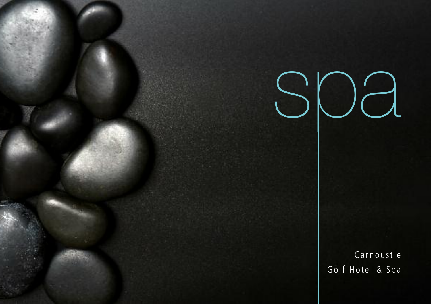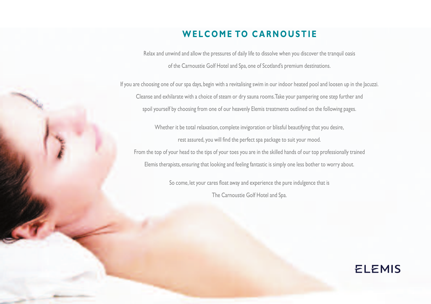## **WELCOME TO CARNOUSTIE**

Relax and unwind and allow the pressures of daily life to dissolve when you discover the tranquil oasis of the Carnoustie Golf Hotel and Spa,one of Scotland's premium destinations.

If you are choosing one of our spa days, begin with a revitalising swim in our indoor heated pool and loosen up in the Jacuzzi. Cleanse and exhilarate with a choice of steam or dry sauna rooms.Take your pampering one step further and spoil yourself by choosing from one of our heavenly Elemis treatments outlined on the following pages.

Whether it be total relaxation, complete invigoration or blissful beautifying that you desire, rest assured, you will find the perfect spa package to suit your mood.

From the top of your head to the tips of your toes you are in the skilled hands of our top professionally trained Elemis therapists, ensuring that looking and feeling fantastic is simply one less bother to worry about.

> So come, let your cares float away and experience the pure indulgence that is The Carnoustie Golf Hotel and Spa.

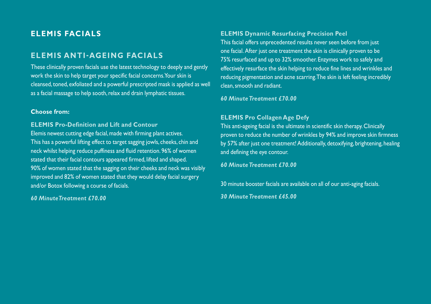## **ELEMIS FACIALS**

## **ELEMIS ANTI-AGEING FACIALS**

These clinically proven facials use the latest technology to deeply and gently work the skin to help target your specific facial concerns.Your skin is cleansed, toned, exfoliated and a powerful prescripted mask is applied as well as a facial massage to help sooth, relax and drain lymphatic tissues.

#### **Choose from:**

**ELEMIS Pro-Definition and Lift and Contour** Elemis newest cutting edge facial,made with firming plant actives. This has a powerful lifting effect to target sagging jowls, cheeks, chin and neck whilst helping reduce puffiness and fluid retention. 96% of women stated that their facial contours appeared firmed, lifted and shaped. 90% of women stated that the sagging on their cheeks and neck was visibly improved and 82% of women stated that they would delay facial surgery and/or Botox following a course of facials.

#### *60 MinuteTreatment £70.00*

### **ELEMIS Dynamic Resurfacing Precision Peel**

This facial offers unprecedented results never seen before from just one facial. After just one treatment the skin is clinically proven to be 75% resurfaced and up to 32% smoother. Enzymes work to safely and effectively resurface the skin helping to reduce fine lines and wrinkles and reducing pigmentation and acne scarring.The skin is left feeling incredibly clean,smooth and radiant.

*60 MinuteTreatment £70.00*

### **ELEMIS Pro Collagen Age Defy**

This anti-ageing facial is the ultimate in scientific skin therapy.Clinically proven to reduce the number of wrinkles by 94% and improve skin firmness by 57% after just one treatment! Additionally, detoxifying, brightening, healing and defining the eye contour.

*60 MinuteTreatment £70.00*

30 minute booster facials are available on all of our anti-aging facials.

*30 MinuteTreatment £45.00*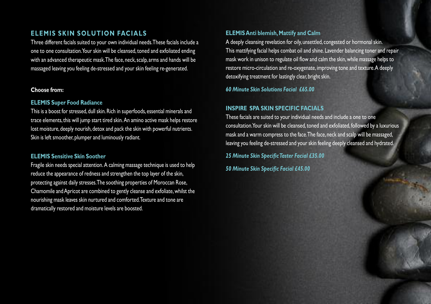## **ELEMIS SKIN SOLUTION FACIALS**

Three different facials suited to your own individual needs.These facials include a one to one consultation. Your skin will be cleansed, toned and exfoliated ending with an advanced therapeutic mask. The face, neck, scalp, arms and hands will be massaged leaving you feeling de-stressed and your skin feeling re-generated.

#### **Choose from:**

#### **ELEMIS Super Food Radiance**

This is a boost for stressed, dull skin. Rich in superfoods, essential minerals and trace elements, this will jump start tired skin. An amino active mask helps restore lost moisture, deeply nourish, detox and pack the skin with powerful nutrients. Skin is left smoother, plumper and luminously radiant.

#### **ELEMIS Sensitive Skin Soother**

Fragile skin needs special attention.A calming massage technique is used to help reduce the appearance of redness and strengthen the top layer of the skin, protecting against daily stresses.The soothing properties of Moroccan Rose, Chamomile andApricot are combined to gently cleanse and exfoliate,whilst the nourishing mask leaves skin nurtured and comforted.Texture and tone are dramatically restored and moisture levels are boosted.

#### **ELEMISAnti blemish,Mattify and Calm**

A deeply cleansing revelation for oily,unsettled, congested or hormonal skin. This mattifying facial helps combat oil and shine. Lavender balancing toner and repair mask work in unison to regulate oil flow and calm the skin, while massage helps to restore micro-circulation and re-oxygenate, improving tone and texture.A deeply detoxifying treatment for lastingly clear, bright skin.

*60 Minute Skin Solutions Facial £65.00*

### **INSPIRE SPA SKIN SPECIFIC FACIALS**

These facials are suited to your individual needs and include a one to one consultation.Your skin will be cleansed, toned and exfoliated, followed by a luxurious mask and a warm compress to the face. The face, neck and scalp will be massaged, leaving you feeling de-stressed and your skin feeling deeply cleansed and hydrated.

*25 Minute Skin SpecificTaster Facial £35.00 50 Minute Skin Specific Facial £45.00*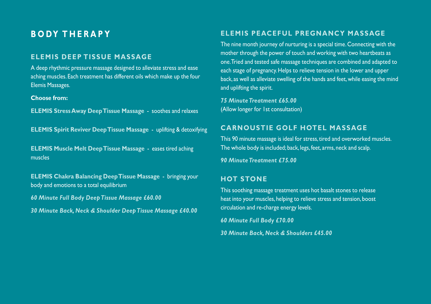## **B O DY T H E R A P Y**

## **ELEMIS DEEP TISSUE MASSAGE**

A deep rhythmic pressure massage designed to alleviate stress and ease aching muscles. Each treatment has different oils which make up the four Elemis Massages.

#### **Choose from:**

**ELEMIS StressAway DeepTissue Massage** - soothes and relaxes

**ELEMIS Spirit Reviver DeepTissue Massage** - uplifting & detoxifying

**ELEMIS Muscle Melt DeepTissue Massage** - eases tired aching muscles

**ELEMIS Chakra Balancing DeepTissue Massage** - bringing your body and emotions to a total equilibrium

*60 Minute Full Body DeepTissue Massage £60.00*

*30 Minute Back, Neck & Shoulder DeepTissue Massage £40.00*

### **ELEMIS PEACEFUL PREGNANCY MASSAGE**

The nine month journey of nurturing is a special time. Connecting with the mother through the power of touch and working with two heartbeats as one.Tried and tested safe massage techniques are combined and adapted to each stage of pregnancy.Helps to relieve tension in the lower and upper back, as well as alleviate swelling of the hands and feet,while easing the mind and uplifting the spirit.

*75 MinuteTreatment £65.00* (Allow longer for 1st consultation)

## **CARNOUSTIE GOLF HOTEL MASSAGE**

This 90 minute massage is ideal for stress, tired and overworked muscles. The whole body is included; back, legs, feet, arms, neck and scalp.

*90 MinuteTreatment £75.00*

### **HOT STONE**

This soothing massage treatment uses hot basalt stones to release heat into your muscles, helping to relieve stress and tension, boost circulation and re-charge energy levels.

*60 Minute Full Body £70.00*

*30 Minute Back, Neck & Shoulders £45.00*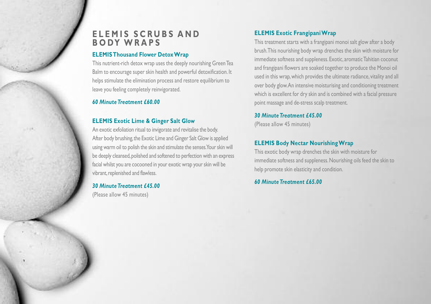## $E$  **LEMIS SCRUBS AND B O DY W R A P S**

#### **ELEMISThousand Flower DetoxWrap**

This nutrient-rich detox wrap uses the deeply nourishing GreenTea Balm to encourage super skin health and powerful detoxification. It helps stimulate the elimination process and restore equilibrium to leave you feeling completely reinvigorated.

#### *60 MinuteTreatment £60.00*

 $-0.04$ 

### **ELEMIS Exotic Lime & Ginger Salt Glow**

An exotic exfoliation ritual to invigorate and revitalise the body. After body brushing, the Exotic Lime and Ginger Salt Glow is applied using warm oil to polish the skin and stimulate the senses. Your skin will be deeply cleansed,polished and softened to perfection with an express facial whilst you are cocooned in your exotic wrap yourskin will be vibrant, replenished and flawless.

#### *30 MinuteTreatment £45.00*

(Please allow 45 minutes)

## **ELEMIS Exotic FrangipaniWrap**

This treatment starts with a frangipani monoi salt glow after a body brush.This nourishing body wrap drenches the skin with moisture for immediate softness and suppleness. Exotic, aromatic Tahitian coconut and frangipani flowers are soaked together to produce the Monoi oil used in this wrap,which provides the ultimate radiance, vitality and all over body glow.An intensive moisturising and conditioning treatment which is excellent for dry skin and is combined with a facial pressure point massage and de-stress scalp treatment.

#### *30 MinuteTreatment £45.00*

(Please allow 45 minutes)

## **ELEMIS Body Nectar NourishingWrap**

This exotic body wrap drenches the skin with moisture for immediate softness and suppleness. Nourishing oils feed the skin to help promote skin elasticity and condition.

#### *60 MinuteTreatment £65.00*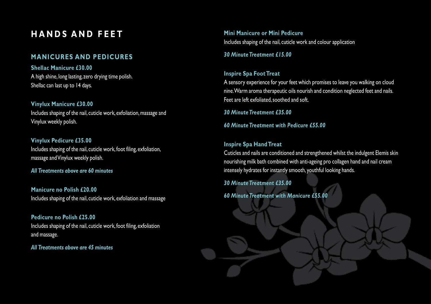# **H A N D S A N D F E E T**

## **MANICURES AND PEDICURES**

**Shellac Manicure £30.00** A high shine, long lasting, zero drying time polish. Shellac can last up to 14 days.

**Vinylux Manicure £30.00** Includes shaping of the nail, cuticle work, exfoliation, massage and Vinylux weekly polish.

**Vinylux Pedicure £35.00** Includes shaping of the nail, cuticle work, foot filing, exfoliation, massage andVinylux weekly polish.

#### *All Treatments above are 60 minutes*

**Manicure no Polish £20.00** Includes shaping of the nail, cuticle work, exfoliation and massage

**Pedicure no Polish £25.00** Includes shaping of the nail, cuticle work, foot filing, exfoliation and massage.

*All Treatments above are 45 minutes*

**Mini Manicure or Mini Pedicure** Includes shaping of the nail, cuticle work and colour application

*30 MinuteTreatment £15.00*

### **Inspire Spa FootTreat**

A sensory experience for your feet which promises to leave you walking on cloud nine.Warm aroma therapeutic oils nourish and condition neglected feet and nails. Feet are left exfoliated,soothed and soft.

*30 MinuteTreatment £35.00*

*60 MinuteTreatment with Pedicure £55.00*

#### **Inspire Spa HandTreat**

Cuticles and nails are conditioned and strengthened whilst the indulgent Elemis skin nourishing milk bath combined with anti-ageing pro collagen hand and nail cream intensely hydrates for instantly smooth, youthful looking hands.

*30 MinuteTreatment £35.00*

*60 MinuteTreatment with Manicure £55.00*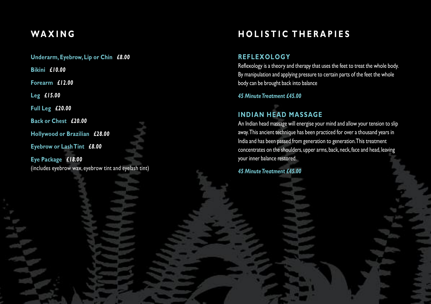# **WA X I N G**

**Underarm, Eyebrow, Lip or Chin** *£8.00*

**Bikini** *£10.00*

**Forearm** *£12.00*

**Leg** *£15.00*

**Full Leg** *£20.00*

**Back or Chest** *£20.00*

**Hollywood or Brazilian** *£28.00*

**Eyebrow or LashTint** *£8.00*

**Eye Package** *£18.00* (includes eyebrow wax, eyebrow tint and eyelash tint)

# **HOLISTIC THERAPIES**

## **REFLEXOLOGY**

Reflexology is a theory and therapy that uses the feet to treat the whole body. By manipulation and applying pressure to certain parts of the feet the whole body can be brought back into balance

### *45 MinuteTreatment £45.00*

# **INDIAN HEAD MASSAGE**

An Indian head massage will energise your mind and allow your tension to slip away.This ancient technique has been practiced for over a thousand years in India and has been passed from generation to generation.This treatment concentrates on the shoulders, upper arms, back, neck, face and head, leaving your inner balance restored.

*45 MinuteTreatment £45.00*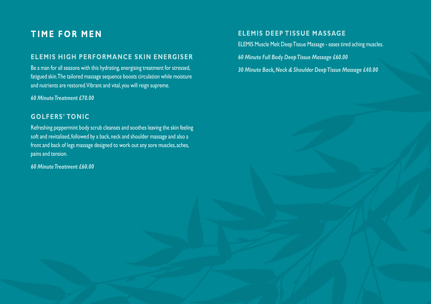# **T I M E F O R M E N**

## **ELEMIS HIGH PERFORMANCE SKIN ENERGISER**

Be a man for all seasons with this hydrating, energising treatment for stressed, fatigued skin.The tailored massage sequence boosts circulation while moisture and nutrients are restored.Vibrant and vital, you will reign supreme.

*60 MinuteTreatment £70.00*

## **GOLFERS' TONIC**

Refreshing peppermint body scrub cleanses and soothes leaving the skin feeling soft and revitalised, followed by a back, neck and shoulder massage and also a front and back of legs massage designed to work out any sore muscles, aches, pains and tension.

*60 MinuteTreatment £60.00*

## **ELEMIS DEEP TISSUE MASSAGE**

ELEMIS Muscle Melt DeepTissue Massage - eases tired aching muscles.

*60 Minute Full Body DeepTissue Massage £60.00*

*30 Minute Back,Neck & Shoulder DeepTissue Massage £40.00*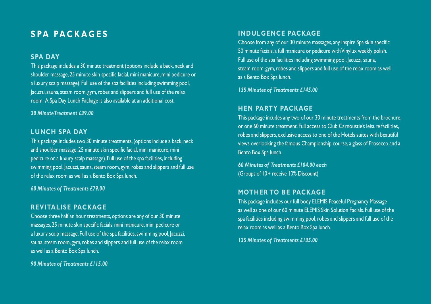# **S PA PA C K A G E S**

## **SPA DAY**

This package includes a 30 minute treatment (options include a back, neck and shoulder massage, 25 minute skin specific facial,mini manicure,mini pedicure or a luxury scalp massage). Full use of the spa facilities including swimming pool, Jacuzzi, sauna, steam room, gym, robes and slippers and full use of the relax room. A Spa Day Lunch Package is also available at an additional cost.

#### *30 MinuteTreatment £39.00*

#### **LUNCH SPA DAY**

This package includes two 30 minute treatments,(options include a back, neck and shoulder massage, 25 minute skin specific facial, mini manicure, mini pedicure or a luxury scalp massage). Full use of the spa facilities, including swimming pool, Jacuzzi, sauna, steam room, gym, robes and slippers and full use of the relax room as well as a Bento Box Spa lunch.

*60 Minutes of Treatments £79.00*

## **REVITALISE PACKAGE**

Choose three half an hour treatments, options are any of our 30 minute massages, 25 minute skin specific facials,mini manicure,mini pedicure or a luxury scalp massage. Full use of the spa facilities, swimming pool, Jacuzzi, sauna, steam room, gym, robes and slippers and full use of the relax room as well as a Bento Box Spa lunch.

*90 Minutes of Treatments £115.00*

#### **INDULGENCE PACKAGE**

Choose from any of our 30 minute massages, any Inspire Spa skin specific 50 minute facials, a full manicure or pedicure withVinylux weekly polish. Full use of the spa facilities including swimming pool, Jacuzzi,sauna, steam room, gym, robes and slippers and full use of the relax room as well as a Bento Box Spa lunch.

*135 Minutes of Treatments £145.00*

### **HEN PARTY PACKAGE**

This package incudes any two of our 30 minute treatments from the brochure, or one 60 minute treatment. Full access to Club Carnoustie's leisure facilities, robes and slippers, exclusive access to one of the Hotels suites with beautiful views overlooking the famous Championship course, a glass of Prosecco and a Bento Box Spa lunch.

*60 Minutes of Treatments £104.00 each* (Groups of 10+ receive 10% Discount)

#### **MOTHER TO BE PACKAGE**

This package includes our full body ELEMIS Peaceful Pregnancy Massage as well as one of our 60 minute ELEMIS Skin Solution Facials. Full use of the spa facilities including swimming pool,robes and slippers and full use of the relax room as well as a Bento Box Spa lunch.

*135 Minutes of Treatments £135.00*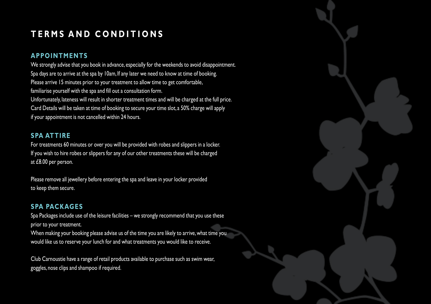# $T$ **ERMS AND CONDITIONS**

## **APPOINTMENTS**

We strongly advise that you book in advance, especially for the weekends to avoid disappointment. Spa days are to arrive at the spa by 10am, If any later we need to know at time of booking. Please arrive 15 minutes prior to your treatment to allow time to get comfortable, familiarise yourself with the spa and fill out a consultation form. Unfortunately, lateness will result in shorter treatment times and will be charged at the full price. Card Details will be taken at time of booking to secure your time slot, a 50% charge will apply if your appointment is not cancelled within 24 hours.

## **SPA ATTIRE**

For treatments 60 minutes or over you will be provided with robes and slippers in a locker. If you wish to hire robes or slippers for any of our other treatments these will be charged at £8.00 per person.

Please remove all jewellery before entering the spa and leave in your locker provided to keep them secure.

## **SPA PACKAGES**

Spa Packages include use of the leisure facilities – we strongly recommend that you use these prior to your treatment.

When making your booking please advise us of the time you are likely to arrive, what time you would like us to reserve your lunch for and what treatments you would like to receive.

Club Carnoustie have a range of retail products available to purchase such as swim wear, goggles, nose clips and shampoo if required.